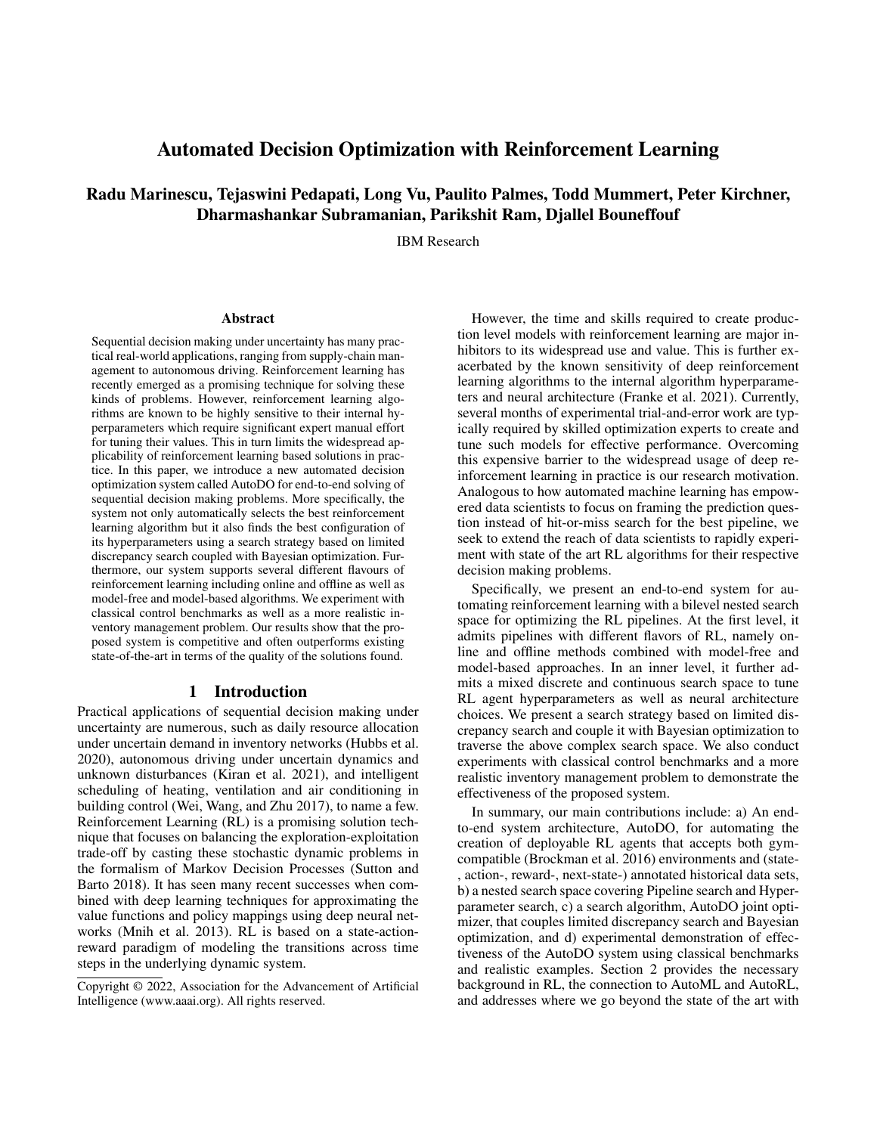# Automated Decision Optimization with Reinforcement Learning

# Radu Marinescu, Tejaswini Pedapati, Long Vu, Paulito Palmes, Todd Mummert, Peter Kirchner, Dharmashankar Subramanian, Parikshit Ram, Djallel Bouneffouf

IBM Research

#### Abstract

Sequential decision making under uncertainty has many practical real-world applications, ranging from supply-chain management to autonomous driving. Reinforcement learning has recently emerged as a promising technique for solving these kinds of problems. However, reinforcement learning algorithms are known to be highly sensitive to their internal hyperparameters which require significant expert manual effort for tuning their values. This in turn limits the widespread applicability of reinforcement learning based solutions in practice. In this paper, we introduce a new automated decision optimization system called AutoDO for end-to-end solving of sequential decision making problems. More specifically, the system not only automatically selects the best reinforcement learning algorithm but it also finds the best configuration of its hyperparameters using a search strategy based on limited discrepancy search coupled with Bayesian optimization. Furthermore, our system supports several different flavours of reinforcement learning including online and offline as well as model-free and model-based algorithms. We experiment with classical control benchmarks as well as a more realistic inventory management problem. Our results show that the proposed system is competitive and often outperforms existing state-of-the-art in terms of the quality of the solutions found.

### 1 Introduction

Practical applications of sequential decision making under uncertainty are numerous, such as daily resource allocation under uncertain demand in inventory networks (Hubbs et al. 2020), autonomous driving under uncertain dynamics and unknown disturbances (Kiran et al. 2021), and intelligent scheduling of heating, ventilation and air conditioning in building control (Wei, Wang, and Zhu 2017), to name a few. Reinforcement Learning (RL) is a promising solution technique that focuses on balancing the exploration-exploitation trade-off by casting these stochastic dynamic problems in the formalism of Markov Decision Processes (Sutton and Barto 2018). It has seen many recent successes when combined with deep learning techniques for approximating the value functions and policy mappings using deep neural networks (Mnih et al. 2013). RL is based on a state-actionreward paradigm of modeling the transitions across time steps in the underlying dynamic system.

However, the time and skills required to create production level models with reinforcement learning are major inhibitors to its widespread use and value. This is further exacerbated by the known sensitivity of deep reinforcement learning algorithms to the internal algorithm hyperparameters and neural architecture (Franke et al. 2021). Currently, several months of experimental trial-and-error work are typically required by skilled optimization experts to create and tune such models for effective performance. Overcoming this expensive barrier to the widespread usage of deep reinforcement learning in practice is our research motivation. Analogous to how automated machine learning has empowered data scientists to focus on framing the prediction question instead of hit-or-miss search for the best pipeline, we seek to extend the reach of data scientists to rapidly experiment with state of the art RL algorithms for their respective decision making problems.

Specifically, we present an end-to-end system for automating reinforcement learning with a bilevel nested search space for optimizing the RL pipelines. At the first level, it admits pipelines with different flavors of RL, namely online and offline methods combined with model-free and model-based approaches. In an inner level, it further admits a mixed discrete and continuous search space to tune RL agent hyperparameters as well as neural architecture choices. We present a search strategy based on limited discrepancy search and couple it with Bayesian optimization to traverse the above complex search space. We also conduct experiments with classical control benchmarks and a more realistic inventory management problem to demonstrate the effectiveness of the proposed system.

In summary, our main contributions include: a) An endto-end system architecture, AutoDO, for automating the creation of deployable RL agents that accepts both gymcompatible (Brockman et al. 2016) environments and (state- , action-, reward-, next-state-) annotated historical data sets, b) a nested search space covering Pipeline search and Hyperparameter search, c) a search algorithm, AutoDO joint optimizer, that couples limited discrepancy search and Bayesian optimization, and d) experimental demonstration of effectiveness of the AutoDO system using classical benchmarks and realistic examples. Section 2 provides the necessary background in RL, the connection to AutoML and AutoRL, and addresses where we go beyond the state of the art with

Copyright © 2022, Association for the Advancement of Artificial Intelligence (www.aaai.org). All rights reserved.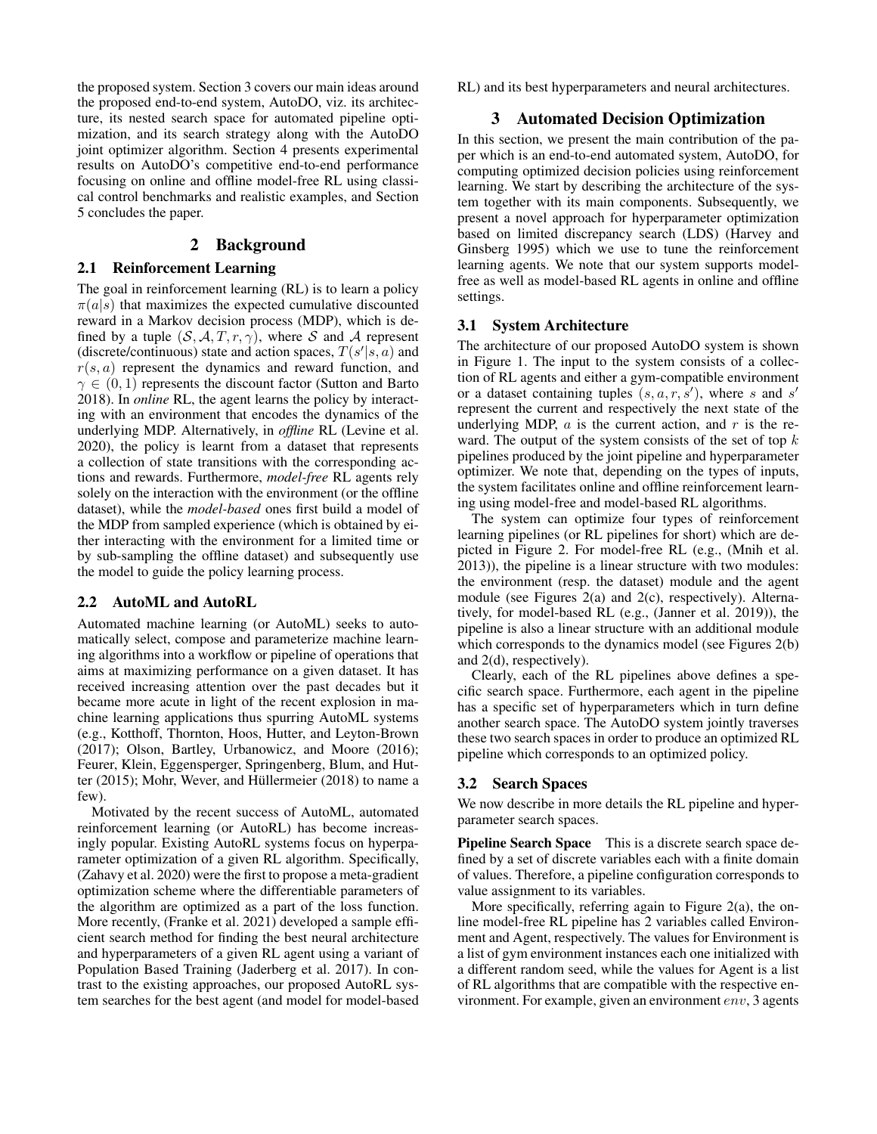the proposed system. Section 3 covers our main ideas around the proposed end-to-end system, AutoDO, viz. its architecture, its nested search space for automated pipeline optimization, and its search strategy along with the AutoDO joint optimizer algorithm. Section 4 presents experimental results on AutoDO's competitive end-to-end performance focusing on online and offline model-free RL using classical control benchmarks and realistic examples, and Section 5 concludes the paper.

# 2 Background

# 2.1 Reinforcement Learning

The goal in reinforcement learning (RL) is to learn a policy  $\pi(a|s)$  that maximizes the expected cumulative discounted reward in a Markov decision process (MDP), which is defined by a tuple  $(S, \mathcal{A}, T, r, \gamma)$ , where S and A represent (discrete/continuous) state and action spaces,  $T(s'|s, a)$  and  $r(s, a)$  represent the dynamics and reward function, and  $\gamma \in (0, 1)$  represents the discount factor (Sutton and Barto 2018). In *online* RL, the agent learns the policy by interacting with an environment that encodes the dynamics of the underlying MDP. Alternatively, in *offline* RL (Levine et al. 2020), the policy is learnt from a dataset that represents a collection of state transitions with the corresponding actions and rewards. Furthermore, *model-free* RL agents rely solely on the interaction with the environment (or the offline dataset), while the *model-based* ones first build a model of the MDP from sampled experience (which is obtained by either interacting with the environment for a limited time or by sub-sampling the offline dataset) and subsequently use the model to guide the policy learning process.

## 2.2 AutoML and AutoRL

Automated machine learning (or AutoML) seeks to automatically select, compose and parameterize machine learning algorithms into a workflow or pipeline of operations that aims at maximizing performance on a given dataset. It has received increasing attention over the past decades but it became more acute in light of the recent explosion in machine learning applications thus spurring AutoML systems (e.g., Kotthoff, Thornton, Hoos, Hutter, and Leyton-Brown (2017); Olson, Bartley, Urbanowicz, and Moore (2016); Feurer, Klein, Eggensperger, Springenberg, Blum, and Hutter (2015); Mohr, Wever, and Hüllermeier (2018) to name a few).

Motivated by the recent success of AutoML, automated reinforcement learning (or AutoRL) has become increasingly popular. Existing AutoRL systems focus on hyperparameter optimization of a given RL algorithm. Specifically, (Zahavy et al. 2020) were the first to propose a meta-gradient optimization scheme where the differentiable parameters of the algorithm are optimized as a part of the loss function. More recently, (Franke et al. 2021) developed a sample efficient search method for finding the best neural architecture and hyperparameters of a given RL agent using a variant of Population Based Training (Jaderberg et al. 2017). In contrast to the existing approaches, our proposed AutoRL system searches for the best agent (and model for model-based

RL) and its best hyperparameters and neural architectures.

# 3 Automated Decision Optimization

In this section, we present the main contribution of the paper which is an end-to-end automated system, AutoDO, for computing optimized decision policies using reinforcement learning. We start by describing the architecture of the system together with its main components. Subsequently, we present a novel approach for hyperparameter optimization based on limited discrepancy search (LDS) (Harvey and Ginsberg 1995) which we use to tune the reinforcement learning agents. We note that our system supports modelfree as well as model-based RL agents in online and offline settings.

# 3.1 System Architecture

The architecture of our proposed AutoDO system is shown in Figure 1. The input to the system consists of a collection of RL agents and either a gym-compatible environment or a dataset containing tuples  $(s, a, r, s')$ , where s and s' represent the current and respectively the next state of the underlying MDP,  $\alpha$  is the current action, and  $r$  is the reward. The output of the system consists of the set of top  $k$ pipelines produced by the joint pipeline and hyperparameter optimizer. We note that, depending on the types of inputs, the system facilitates online and offline reinforcement learning using model-free and model-based RL algorithms.

The system can optimize four types of reinforcement learning pipelines (or RL pipelines for short) which are depicted in Figure 2. For model-free RL (e.g., (Mnih et al. 2013)), the pipeline is a linear structure with two modules: the environment (resp. the dataset) module and the agent module (see Figures 2(a) and 2(c), respectively). Alternatively, for model-based RL (e.g., (Janner et al. 2019)), the pipeline is also a linear structure with an additional module which corresponds to the dynamics model (see Figures 2(b) and 2(d), respectively).

Clearly, each of the RL pipelines above defines a specific search space. Furthermore, each agent in the pipeline has a specific set of hyperparameters which in turn define another search space. The AutoDO system jointly traverses these two search spaces in order to produce an optimized RL pipeline which corresponds to an optimized policy.

#### 3.2 Search Spaces

We now describe in more details the RL pipeline and hyperparameter search spaces.

Pipeline Search Space This is a discrete search space defined by a set of discrete variables each with a finite domain of values. Therefore, a pipeline configuration corresponds to value assignment to its variables.

More specifically, referring again to Figure 2(a), the online model-free RL pipeline has 2 variables called Environment and Agent, respectively. The values for Environment is a list of gym environment instances each one initialized with a different random seed, while the values for Agent is a list of RL algorithms that are compatible with the respective environment. For example, given an environment env, 3 agents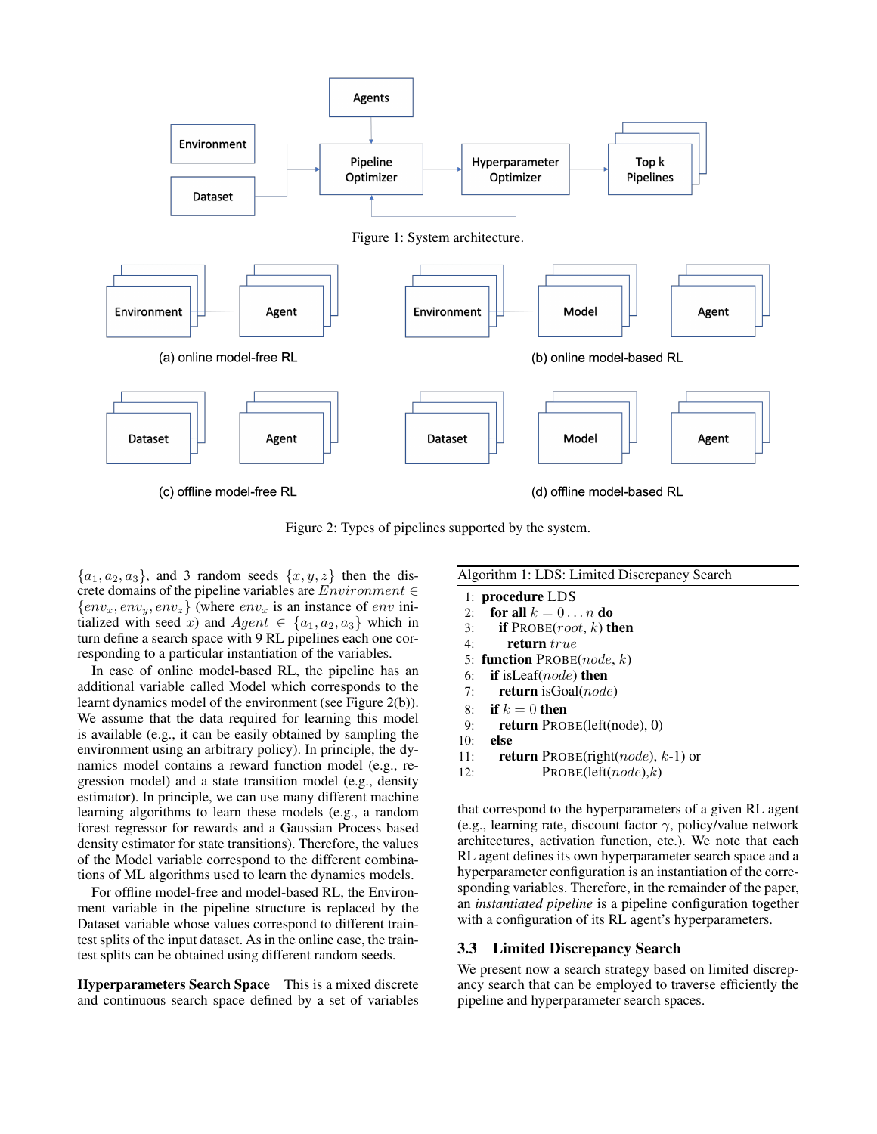

Figure 2: Types of pipelines supported by the system.

 $\{a_1, a_2, a_3\}$ , and 3 random seeds  $\{x, y, z\}$  then the discrete domains of the pipeline variables are  $Environment \in$  $\{env_x, env_y, env_z\}$  (where  $env_x$  is an instance of *env* initialized with seed x) and  $Agent \in \{a_1, a_2, a_3\}$  which in turn define a search space with 9 RL pipelines each one corresponding to a particular instantiation of the variables.

In case of online model-based RL, the pipeline has an additional variable called Model which corresponds to the learnt dynamics model of the environment (see Figure 2(b)). We assume that the data required for learning this model is available (e.g., it can be easily obtained by sampling the environment using an arbitrary policy). In principle, the dynamics model contains a reward function model (e.g., regression model) and a state transition model (e.g., density estimator). In principle, we can use many different machine learning algorithms to learn these models (e.g., a random forest regressor for rewards and a Gaussian Process based density estimator for state transitions). Therefore, the values of the Model variable correspond to the different combinations of ML algorithms used to learn the dynamics models.

For offline model-free and model-based RL, the Environment variable in the pipeline structure is replaced by the Dataset variable whose values correspond to different traintest splits of the input dataset. As in the online case, the traintest splits can be obtained using different random seeds.

Hyperparameters Search Space This is a mixed discrete and continuous search space defined by a set of variables

| Algorithm 1: LDS: Limited Discrepancy Search                |  |  |  |  |  |
|-------------------------------------------------------------|--|--|--|--|--|
| 1: procedure LDS                                            |  |  |  |  |  |
| for all $k = 0 \ldots n$ do<br>2:                           |  |  |  |  |  |
| <b>if</b> PROBE( <i>root</i> , <i>k</i> ) <b>then</b><br>3: |  |  |  |  |  |
| return true<br>4:                                           |  |  |  |  |  |
| 5: <b>function</b> $\text{PROBE}(node, k)$                  |  |  |  |  |  |
| <b>if</b> is Leaf( <i>node</i> ) then                       |  |  |  |  |  |
| <b>return</b> is Goal( <i>node</i> )                        |  |  |  |  |  |
| 8: if $k=0$ then                                            |  |  |  |  |  |
| <b>return</b> $PROBE(left(node), 0)$                        |  |  |  |  |  |
| else                                                        |  |  |  |  |  |
| <b>return</b> PROBE(right( <i>node</i> ), $k-1$ ) or        |  |  |  |  |  |
| PROBE(left(node), k)                                        |  |  |  |  |  |
|                                                             |  |  |  |  |  |

that correspond to the hyperparameters of a given RL agent (e.g., learning rate, discount factor  $\gamma$ , policy/value network architectures, activation function, etc.). We note that each RL agent defines its own hyperparameter search space and a hyperparameter configuration is an instantiation of the corresponding variables. Therefore, in the remainder of the paper, an *instantiated pipeline* is a pipeline configuration together with a configuration of its RL agent's hyperparameters.

## 3.3 Limited Discrepancy Search

We present now a search strategy based on limited discrepancy search that can be employed to traverse efficiently the pipeline and hyperparameter search spaces.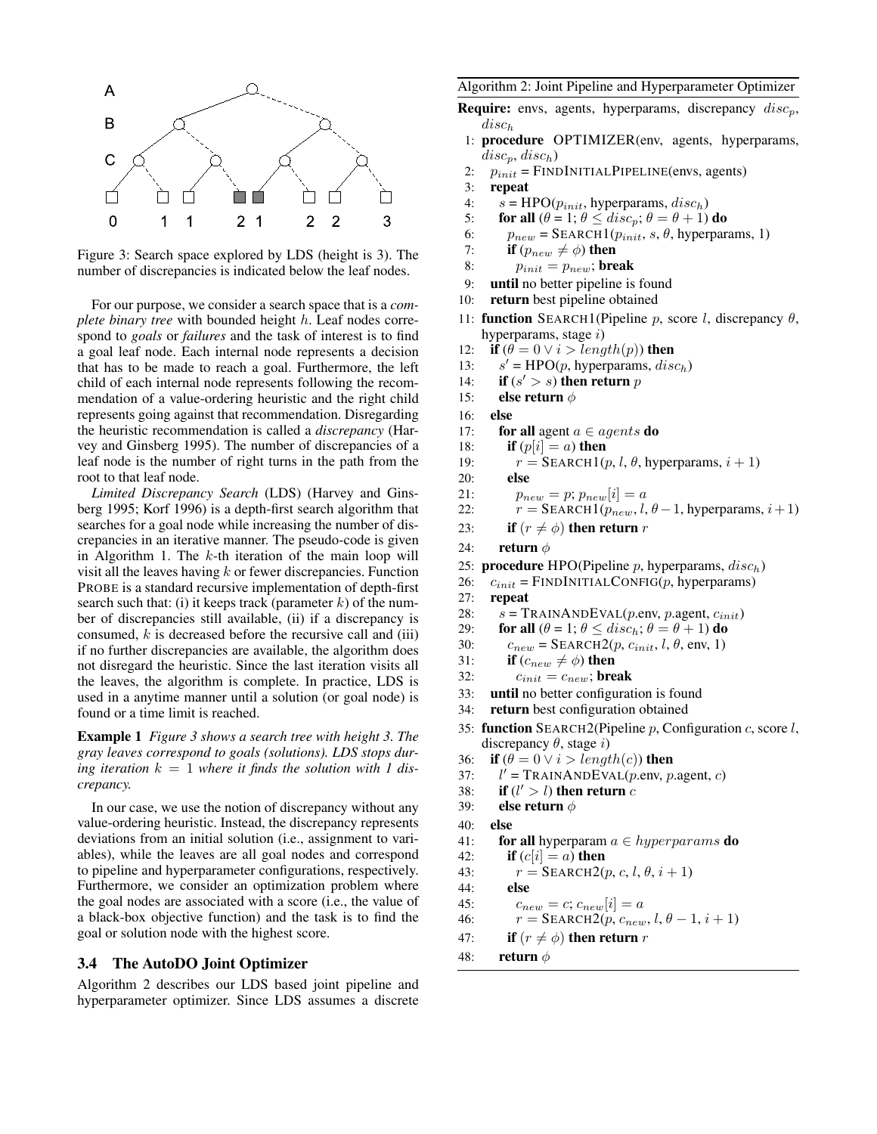

Figure 3: Search space explored by LDS (height is 3). The number of discrepancies is indicated below the leaf nodes.

For our purpose, we consider a search space that is a *complete binary tree* with bounded height h. Leaf nodes correspond to *goals* or *failures* and the task of interest is to find a goal leaf node. Each internal node represents a decision that has to be made to reach a goal. Furthermore, the left child of each internal node represents following the recommendation of a value-ordering heuristic and the right child represents going against that recommendation. Disregarding the heuristic recommendation is called a *discrepancy* (Harvey and Ginsberg 1995). The number of discrepancies of a leaf node is the number of right turns in the path from the root to that leaf node.

*Limited Discrepancy Search* (LDS) (Harvey and Ginsberg 1995; Korf 1996) is a depth-first search algorithm that searches for a goal node while increasing the number of discrepancies in an iterative manner. The pseudo-code is given in Algorithm 1. The  $k$ -th iteration of the main loop will visit all the leaves having  $k$  or fewer discrepancies. Function PROBE is a standard recursive implementation of depth-first search such that: (i) it keeps track (parameter  $k$ ) of the number of discrepancies still available, (ii) if a discrepancy is consumed,  $k$  is decreased before the recursive call and (iii) if no further discrepancies are available, the algorithm does not disregard the heuristic. Since the last iteration visits all the leaves, the algorithm is complete. In practice, LDS is used in a anytime manner until a solution (or goal node) is found or a time limit is reached.

Example 1 *Figure 3 shows a search tree with height 3. The gray leaves correspond to goals (solutions). LDS stops dur*ing iteration  $k = 1$  where it finds the solution with 1 dis*crepancy.*

In our case, we use the notion of discrepancy without any value-ordering heuristic. Instead, the discrepancy represents deviations from an initial solution (i.e., assignment to variables), while the leaves are all goal nodes and correspond to pipeline and hyperparameter configurations, respectively. Furthermore, we consider an optimization problem where the goal nodes are associated with a score (i.e., the value of a black-box objective function) and the task is to find the goal or solution node with the highest score.

#### 3.4 The AutoDO Joint Optimizer

Algorithm 2 describes our LDS based joint pipeline and hyperparameter optimizer. Since LDS assumes a discrete

#### Algorithm 2: Joint Pipeline and Hyperparameter Optimizer

- **Require:** envs, agents, hyperparams, discrepancy  $disc_n$ ,  $disc_h$
- 1: procedure OPTIMIZER(env, agents, hyperparams,  $disc_p, disc_h)$
- 2:  $p_{init}$  = FINDINITIALPIPELINE(envs, agents)<br>3: **repeat**
- repeat
- 4:  $s = \text{HPO}(p_{init}, \text{hyperparams}, \text{disc}_h)$ <br>5: **for all**  $(\theta = 1; \theta \leq \text{disc}_p; \theta = \theta + 1)$
- 5: **for all**  $(\theta = 1; \theta \leq disc_p; \theta = \theta + 1)$  **do**<br>6:  $p_{new} = \text{SEARCH}(p_{init}, s, \theta, \text{hyperpar})$
- 6:  $p_{new} = \text{SEARCH1}(p_{init}, s, \theta, \text{hyperparams}, 1)$ <br>7: **if**  $(p_{new} \neq \phi)$  **then**
- if  $(p_{new} \neq \phi)$  then
- 8:  $p_{init} = p_{new}$ ; break
- 9: until no better pipeline is found
- 10: return best pipeline obtained
- 11: **function** SEARCH1(Pipeline p, score l, discrepancy  $\theta$ , hyperparams, stage  $i$ )
- 12: if  $(\theta = 0 \lor i > length(p))$  then
- $13:$  $s'$  = HPO(p, hyperparams,  $disc_h$ )
- 14: **if**  $(s' > s)$  then return p
- 15: **else return**  $\phi$
- 16: else
- 17: **for all** agent  $a \in agents$  **do**
- 18: **if**  $(p[i] = a)$  then

else

- 19:  $r = \text{SEARCH1}(p, l, \theta, \text{hyperparams}, i + 1)$ <br>20: **else**
- 
- 21:  $p_{new} = p; p_{new}[i] = a$ <br>
22:  $r = \text{SEARCH}(p_{new}, l, n_{new})$
- $r =$  SEARCH1( $p_{new}$ ,  $l, \theta 1$ , hyperparams,  $i + 1$ )
- 23: if  $(r \neq \phi)$  then return r
- 24: **return**  $\phi$
- 25: **procedure** HPO(Pipeline *p*, hyperparams,  $disc_h$ )<br>26:  $c_{init}$  = FINDINITIALCONFIG(*p*, hyperparams)
- $c_{init}$  = FINDINITIALCONFIG(p, hyperparams)
- 27: repeat
- 28:  $s = \text{TRAINANDEVAL}(p.\text{env}, p.\text{agent}, c_{init})$ <br>29: **for all**  $(\theta = 1; \theta < disc_b; \theta = \theta + 1)$  **do**
- 29: **for all**  $(\theta = 1; \theta \leq disc_h; \theta = \theta + 1)$  **do**<br>30:  $c_{\text{mean}} = \text{SEARCH2}(p, \text{Canit}, l, \theta, \text{env}, 1)$
- $c_{new}$  = SEARCH2(p,  $c_{init}$ , l,  $\theta$ , env, 1)
- 31: **if**  $(c_{new} \neq \phi)$  then<br>32:  $c_{init} = c_{new}$ ; bre
- $c_{init} = c_{new}$ ; break
- 33: until no better configuration is found
- 34: return best configuration obtained
- 35: function SEARCH2(Pipeline  $p$ , Configuration  $c$ , score  $l$ , discrepancy  $\theta$ , stage i)
- 36: if  $(\theta = 0 \lor i > length(c))$  then
- $37:$  $l'$  = TRAINANDEVAL(p.env, p.agent, c)
- 38: if  $(l' > l)$  then return c
- 39: else return  $\phi$
- 40: else
- 41: for all hyperparam  $a \in hyperparams$  do
- 42: **if**  $(c[i] = a)$  then
- 43:  $r = \text{SEARCH2}(p, c, l, \theta, i + 1)$
- 44: else
- 45:  $c_{new} = c; c_{new}[i] = a$
- 46:  $r = \text{SEARCH2}(p, c_{new}, l, \theta 1, i + 1)$
- 47: **if**  $(r \neq \phi)$  then return r
- 48: return  $\phi$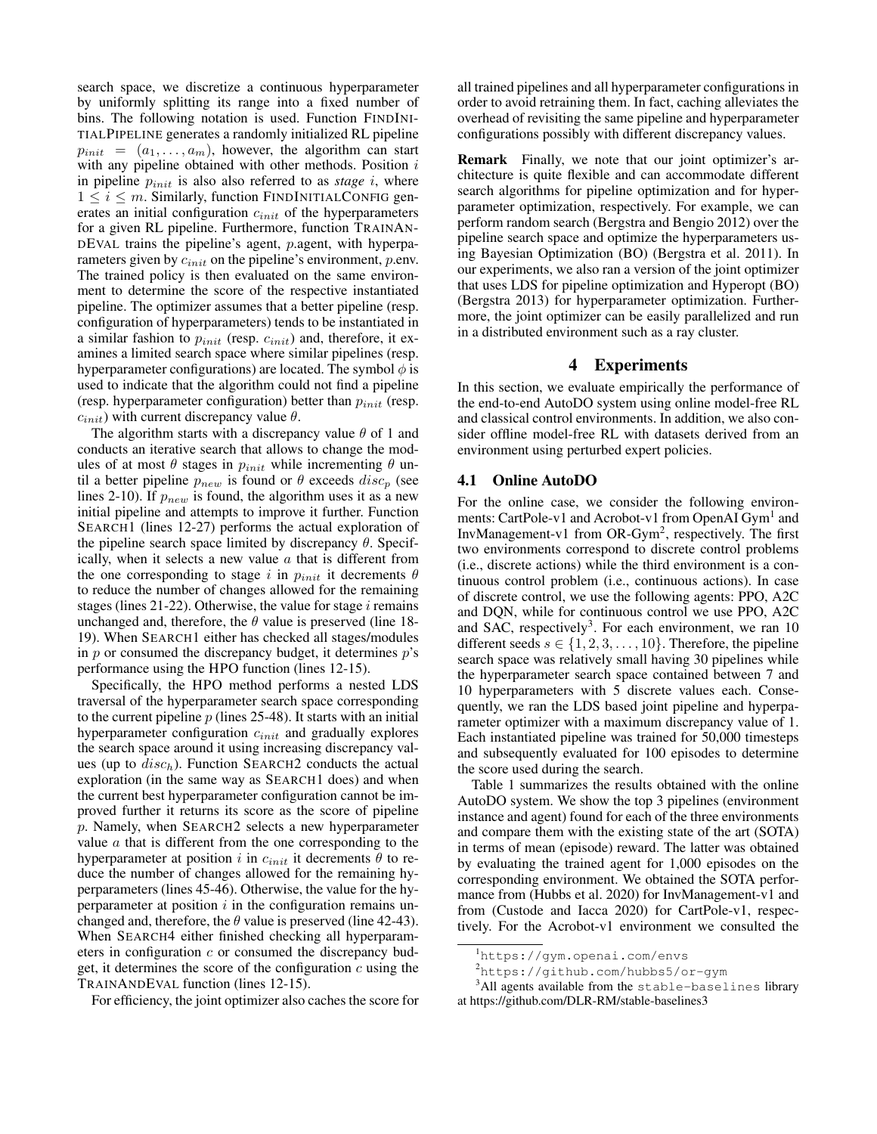search space, we discretize a continuous hyperparameter by uniformly splitting its range into a fixed number of bins. The following notation is used. Function FINDINI-TIALPIPELINE generates a randomly initialized RL pipeline  $p_{init} = (a_1, \ldots, a_m)$ , however, the algorithm can start with any pipeline obtained with other methods. Position  $i$ in pipeline  $p_{init}$  is also also referred to as *stage* i, where  $1 \leq i \leq m$ . Similarly, function FINDINITIALCONFIG generates an initial configuration  $c_{init}$  of the hyperparameters for a given RL pipeline. Furthermore, function TRAINAN-DEVAL trains the pipeline's agent, p.agent, with hyperparameters given by  $c_{init}$  on the pipeline's environment, p.env. The trained policy is then evaluated on the same environment to determine the score of the respective instantiated pipeline. The optimizer assumes that a better pipeline (resp. configuration of hyperparameters) tends to be instantiated in a similar fashion to  $p_{init}$  (resp.  $c_{init}$ ) and, therefore, it examines a limited search space where similar pipelines (resp. hyperparameter configurations) are located. The symbol  $\phi$  is used to indicate that the algorithm could not find a pipeline (resp. hyperparameter configuration) better than  $p_{init}$  (resp.  $c_{init}$ ) with current discrepancy value  $\theta$ .

The algorithm starts with a discrepancy value  $\theta$  of 1 and conducts an iterative search that allows to change the modules of at most  $\theta$  stages in  $p_{init}$  while incrementing  $\theta$  until a better pipeline  $p_{new}$  is found or  $\theta$  exceeds  $disc_p$  (see lines 2-10). If  $p_{new}$  is found, the algorithm uses it as a new initial pipeline and attempts to improve it further. Function SEARCH1 (lines 12-27) performs the actual exploration of the pipeline search space limited by discrepancy  $\theta$ . Specifically, when it selects a new value  $a$  that is different from the one corresponding to stage i in  $p_{init}$  it decrements  $\theta$ to reduce the number of changes allowed for the remaining stages (lines  $21-22$ ). Otherwise, the value for stage i remains unchanged and, therefore, the  $\theta$  value is preserved (line 18-19). When SEARCH1 either has checked all stages/modules in  $p$  or consumed the discrepancy budget, it determines  $p$ 's performance using the HPO function (lines 12-15).

Specifically, the HPO method performs a nested LDS traversal of the hyperparameter search space corresponding to the current pipeline  $p$  (lines 25-48). It starts with an initial hyperparameter configuration  $c_{init}$  and gradually explores the search space around it using increasing discrepancy values (up to  $disc_h$ ). Function SEARCH2 conducts the actual exploration (in the same way as SEARCH1 does) and when the current best hyperparameter configuration cannot be improved further it returns its score as the score of pipeline p. Namely, when SEARCH2 selects a new hyperparameter value  $a$  that is different from the one corresponding to the hyperparameter at position i in  $c_{init}$  it decrements  $\theta$  to reduce the number of changes allowed for the remaining hyperparameters (lines 45-46). Otherwise, the value for the hyperparameter at position  $i$  in the configuration remains unchanged and, therefore, the  $\theta$  value is preserved (line 42-43). When SEARCH4 either finished checking all hyperparameters in configuration  $c$  or consumed the discrepancy budget, it determines the score of the configuration  $c$  using the TRAINANDEVAL function (lines 12-15).

For efficiency, the joint optimizer also caches the score for

all trained pipelines and all hyperparameter configurations in order to avoid retraining them. In fact, caching alleviates the overhead of revisiting the same pipeline and hyperparameter configurations possibly with different discrepancy values.

Remark Finally, we note that our joint optimizer's architecture is quite flexible and can accommodate different search algorithms for pipeline optimization and for hyperparameter optimization, respectively. For example, we can perform random search (Bergstra and Bengio 2012) over the pipeline search space and optimize the hyperparameters using Bayesian Optimization (BO) (Bergstra et al. 2011). In our experiments, we also ran a version of the joint optimizer that uses LDS for pipeline optimization and Hyperopt (BO) (Bergstra 2013) for hyperparameter optimization. Furthermore, the joint optimizer can be easily parallelized and run in a distributed environment such as a ray cluster.

# 4 Experiments

In this section, we evaluate empirically the performance of the end-to-end AutoDO system using online model-free RL and classical control environments. In addition, we also consider offline model-free RL with datasets derived from an environment using perturbed expert policies.

# 4.1 Online AutoDO

For the online case, we consider the following environments: CartPole-v1 and Acrobot-v1 from OpenAI Gym<sup>1</sup> and InvManagement-v1 from OR-Gym<sup>2</sup>, respectively. The first two environments correspond to discrete control problems (i.e., discrete actions) while the third environment is a continuous control problem (i.e., continuous actions). In case of discrete control, we use the following agents: PPO, A2C and DQN, while for continuous control we use PPO, A2C and SAC, respectively<sup>3</sup>. For each environment, we ran 10 different seeds  $s \in \{1, 2, 3, \ldots, 10\}$ . Therefore, the pipeline search space was relatively small having 30 pipelines while the hyperparameter search space contained between 7 and 10 hyperparameters with 5 discrete values each. Consequently, we ran the LDS based joint pipeline and hyperparameter optimizer with a maximum discrepancy value of 1. Each instantiated pipeline was trained for 50,000 timesteps and subsequently evaluated for 100 episodes to determine the score used during the search.

Table 1 summarizes the results obtained with the online AutoDO system. We show the top 3 pipelines (environment instance and agent) found for each of the three environments and compare them with the existing state of the art (SOTA) in terms of mean (episode) reward. The latter was obtained by evaluating the trained agent for 1,000 episodes on the corresponding environment. We obtained the SOTA performance from (Hubbs et al. 2020) for InvManagement-v1 and from (Custode and Iacca 2020) for CartPole-v1, respectively. For the Acrobot-v1 environment we consulted the

<sup>1</sup>https://gym.openai.com/envs

 $2$ https://qithub.com/hubbs5/or-qym

<sup>&</sup>lt;sup>3</sup>All agents available from the stable-baselines library at https://github.com/DLR-RM/stable-baselines3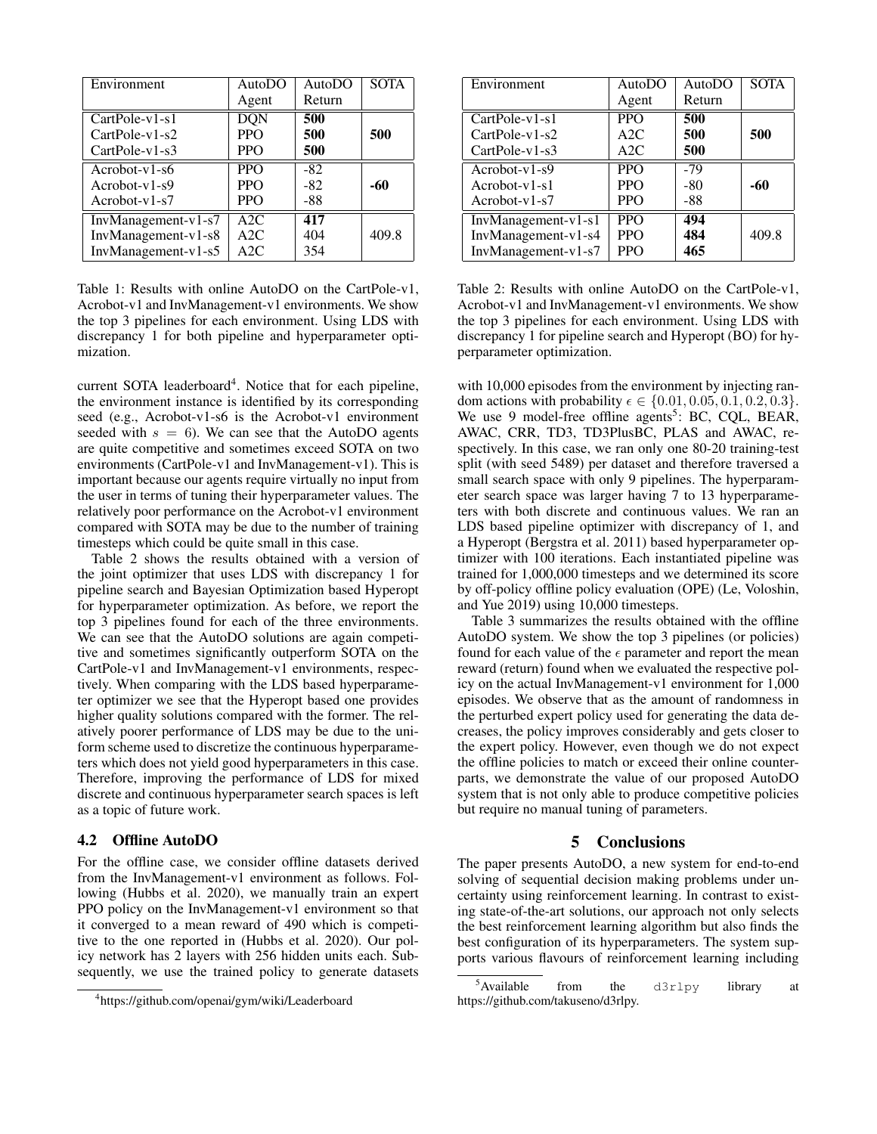| Environment           | <b>AutoDO</b> | AutoDO | <b>SOTA</b> |
|-----------------------|---------------|--------|-------------|
|                       | Agent         | Return |             |
| $CartPole-v1-s1$      | <b>DQN</b>    | 500    |             |
| $CartPole-v1-s2$      | <b>PPO</b>    | 500    | 500         |
| $CartPole-v1-s3$      | <b>PPO</b>    | 500    |             |
| $Acrobot-v1-s6$       | <b>PPO</b>    | $-82$  |             |
| $Acrobot-v1-s9$       | <b>PPO</b>    | $-82$  | -60         |
| $Acrobot-v1-s7$       | <b>PPO</b>    | -88    |             |
| $InvManagement-v1-s7$ | A2C           | 417    |             |
| InvManagement-v1-s8   | A2C           | 404    | 409.8       |
| $InvManagement-v1-s5$ | A2C           | 354    |             |

Table 1: Results with online AutoDO on the CartPole-v1, Acrobot-v1 and InvManagement-v1 environments. We show the top 3 pipelines for each environment. Using LDS with discrepancy 1 for both pipeline and hyperparameter optimization.

current SOTA leaderboard<sup>4</sup>. Notice that for each pipeline, the environment instance is identified by its corresponding seed (e.g., Acrobot-v1-s6 is the Acrobot-v1 environment seeded with  $s = 6$ ). We can see that the AutoDO agents are quite competitive and sometimes exceed SOTA on two environments (CartPole-v1 and InvManagement-v1). This is important because our agents require virtually no input from the user in terms of tuning their hyperparameter values. The relatively poor performance on the Acrobot-v1 environment compared with SOTA may be due to the number of training timesteps which could be quite small in this case.

Table 2 shows the results obtained with a version of the joint optimizer that uses LDS with discrepancy 1 for pipeline search and Bayesian Optimization based Hyperopt for hyperparameter optimization. As before, we report the top 3 pipelines found for each of the three environments. We can see that the AutoDO solutions are again competitive and sometimes significantly outperform SOTA on the CartPole-v1 and InvManagement-v1 environments, respectively. When comparing with the LDS based hyperparameter optimizer we see that the Hyperopt based one provides higher quality solutions compared with the former. The relatively poorer performance of LDS may be due to the uniform scheme used to discretize the continuous hyperparameters which does not yield good hyperparameters in this case. Therefore, improving the performance of LDS for mixed discrete and continuous hyperparameter search spaces is left as a topic of future work.

#### 4.2 Offline AutoDO

For the offline case, we consider offline datasets derived from the InvManagement-v1 environment as follows. Following (Hubbs et al. 2020), we manually train an expert PPO policy on the InvManagement-v1 environment so that it converged to a mean reward of 490 which is competitive to the one reported in (Hubbs et al. 2020). Our policy network has 2 layers with 256 hidden units each. Subsequently, we use the trained policy to generate datasets

| Environment           | <b>AutoDO</b> | AutoDO | <b>SOTA</b> |
|-----------------------|---------------|--------|-------------|
|                       | Agent         | Return |             |
| $CartPole-v1-s1$      | <b>PPO</b>    | 500    |             |
| $CartPole-v1-s2$      | A2C           | 500    | 500         |
| $CartPole-v1-s3$      | A2C           | 500    |             |
| $Acrobot-v1-s9$       | <b>PPO</b>    | $-79$  |             |
| $Acrobot-v1-s1$       | <b>PPO</b>    | $-80$  | -60         |
| $Acrobot-v1-s7$       | <b>PPO</b>    | -88    |             |
| $InvManagement-v1-s1$ | <b>PPO</b>    | 494    |             |
| InvManagement-v1-s4   | <b>PPO</b>    | 484    | 409.8       |
| InvManagement-v1-s7   | <b>PPO</b>    | 465    |             |

Table 2: Results with online AutoDO on the CartPole-v1, Acrobot-v1 and InvManagement-v1 environments. We show the top 3 pipelines for each environment. Using LDS with discrepancy 1 for pipeline search and Hyperopt (BO) for hyperparameter optimization.

with 10,000 episodes from the environment by injecting random actions with probability  $\epsilon \in \{0.01, 0.05, 0.1, 0.2, 0.3\}.$ We use 9 model-free offline agents<sup>5</sup>: BC, CQL, BEAR, AWAC, CRR, TD3, TD3PlusBC, PLAS and AWAC, respectively. In this case, we ran only one 80-20 training-test split (with seed 5489) per dataset and therefore traversed a small search space with only 9 pipelines. The hyperparameter search space was larger having 7 to 13 hyperparameters with both discrete and continuous values. We ran an LDS based pipeline optimizer with discrepancy of 1, and a Hyperopt (Bergstra et al. 2011) based hyperparameter optimizer with 100 iterations. Each instantiated pipeline was trained for 1,000,000 timesteps and we determined its score by off-policy offline policy evaluation (OPE) (Le, Voloshin, and Yue 2019) using 10,000 timesteps.

Table 3 summarizes the results obtained with the offline AutoDO system. We show the top 3 pipelines (or policies) found for each value of the  $\epsilon$  parameter and report the mean reward (return) found when we evaluated the respective policy on the actual InvManagement-v1 environment for 1,000 episodes. We observe that as the amount of randomness in the perturbed expert policy used for generating the data decreases, the policy improves considerably and gets closer to the expert policy. However, even though we do not expect the offline policies to match or exceed their online counterparts, we demonstrate the value of our proposed AutoDO system that is not only able to produce competitive policies but require no manual tuning of parameters.

## 5 Conclusions

The paper presents AutoDO, a new system for end-to-end solving of sequential decision making problems under uncertainty using reinforcement learning. In contrast to existing state-of-the-art solutions, our approach not only selects the best reinforcement learning algorithm but also finds the best configuration of its hyperparameters. The system supports various flavours of reinforcement learning including

<sup>4</sup> https://github.com/openai/gym/wiki/Leaderboard

 $5$ Available from the d3rlpy library at https://github.com/takuseno/d3rlpy.